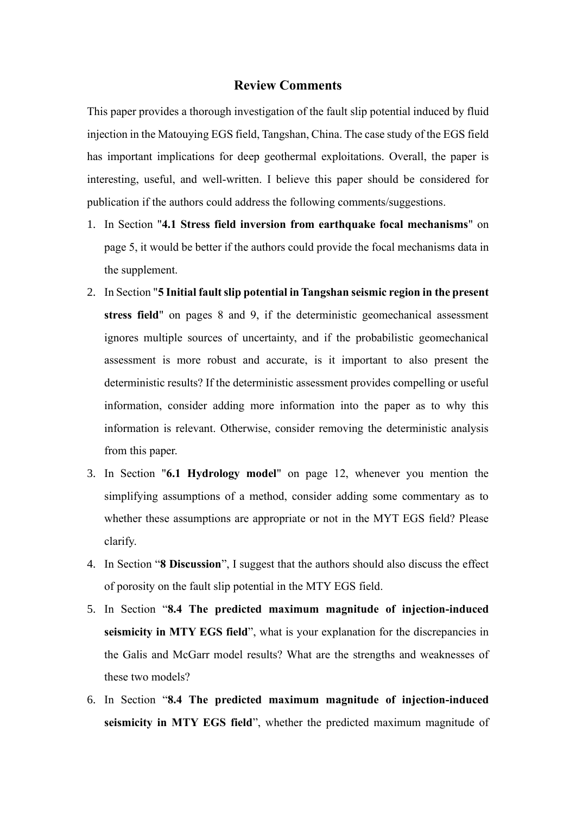## **Review Comments**

This paper provides a thorough investigation of the fault slip potential induced by fluid injection in the Matouying EGS field, Tangshan, China. The case study of the EGS field has important implications for deep geothermal exploitations. Overall, the paper is interesting, useful, and well-written. I believe this paper should be considered for publication if the authors could address the following comments/suggestions.

- 1. In Section "**4.1 Stress field inversion from earthquake focal mechanisms**" on page 5, it would be better if the authors could provide the focal mechanisms data in the supplement.
- 2. In Section "**5 Initial fault slip potential in Tangshan seismic region in the present stress field**" on pages 8 and 9, if the deterministic geomechanical assessment ignores multiple sources of uncertainty, and if the probabilistic geomechanical assessment is more robust and accurate, is it important to also present the deterministic results? If the deterministic assessment provides compelling or useful information, consider adding more information into the paper as to why this information is relevant. Otherwise, consider removing the deterministic analysis from this paper.
- 3. In Section "**6.1 Hydrology model**" on page 12, whenever you mention the simplifying assumptions of a method, consider adding some commentary as to whether these assumptions are appropriate or not in the MYT EGS field? Please clarify.
- 4. In Section "**8 Discussion**", I suggest that the authors should also discuss the effect of porosity on the fault slip potential in the MTY EGS field.
- 5. In Section "**8.4 The predicted maximum magnitude of injection-induced seismicity in MTY EGS field**", what is your explanation for the discrepancies in the Galis and McGarr model results? What are the strengths and weaknesses of these two models?
- 6. In Section "**8.4 The predicted maximum magnitude of injection-induced seismicity in MTY EGS field**", whether the predicted maximum magnitude of